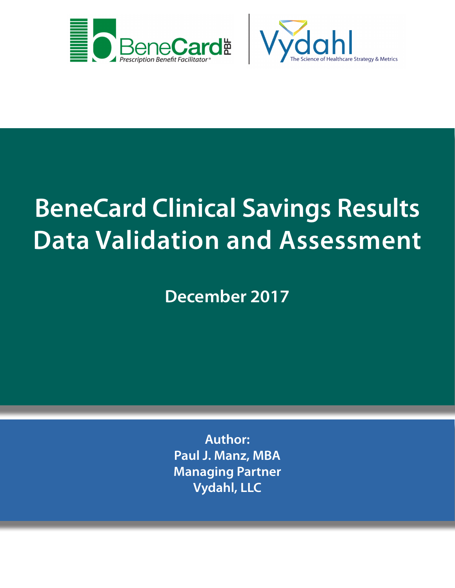



# **BeneCard Clinical Savings Results Data Validation and Assessment**

**December 2017**

**Author: Paul J. Manz, MBA Managing Partner Vydahl, LLC**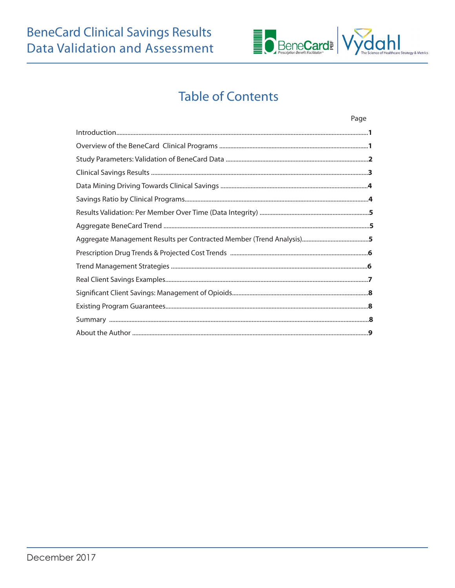# **BeneCard Clinical Savings Results Data Validation and Assessment**



# **Table of Contents**

| Page |
|------|
|      |
|      |
|      |
|      |
|      |
|      |
|      |
|      |
|      |
|      |
|      |
|      |
|      |
|      |
|      |
|      |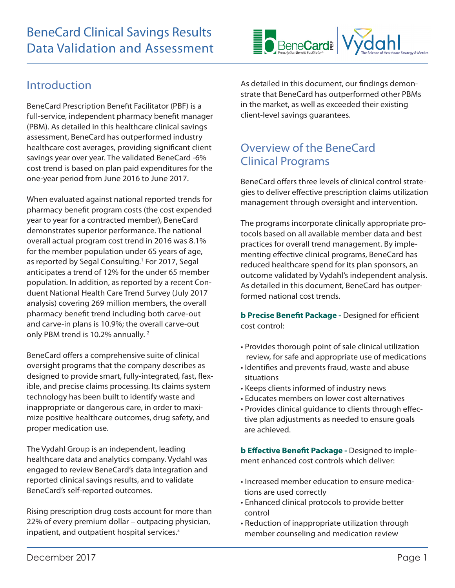

### Introduction

BeneCard Prescription Benefit Facilitator (PBF) is a full-service, independent pharmacy benefit manager (PBM). As detailed in this healthcare clinical savings assessment, BeneCard has outperformed industry healthcare cost averages, providing significant client savings year over year. The validated BeneCard -6% cost trend is based on plan paid expenditures for the one-year period from June 2016 to June 2017.

When evaluated against national reported trends for pharmacy benefit program costs (the cost expended year to year for a contracted member), BeneCard demonstrates superior performance. The national overall actual program cost trend in 2016 was 8.1% for the member population under 65 years of age, as reported by Segal Consulting.<sup>1</sup> For 2017, Segal anticipates a trend of 12% for the under 65 member population. In addition, as reported by a recent Conduent National Health Care Trend Survey (July 2017 analysis) covering 269 million members, the overall pharmacy benefit trend including both carve-out and carve-in plans is 10.9%; the overall carve-out only PBM trend is 10.2% annually.<sup>2</sup>

BeneCard offers a comprehensive suite of clinical oversight programs that the company describes as designed to provide smart, fully-integrated, fast, flexible, and precise claims processing. Its claims system technology has been built to identify waste and inappropriate or dangerous care, in order to maximize positive healthcare outcomes, drug safety, and proper medication use.

The Vydahl Group is an independent, leading healthcare data and analytics company. Vydahl was engaged to review BeneCard's data integration and reported clinical savings results, and to validate BeneCard's self-reported outcomes.

Rising prescription drug costs account for more than 22% of every premium dollar – outpacing physician, inpatient, and outpatient hospital services.<sup>3</sup>

As detailed in this document, our findings demonstrate that BeneCard has outperformed other PBMs in the market, as well as exceeded their existing client-level savings guarantees.

### Overview of the BeneCard Clinical Programs

BeneCard offers three levels of clinical control strategies to deliver effective prescription claims utilization management through oversight and intervention.

The programs incorporate clinically appropriate protocols based on all available member data and best practices for overall trend management. By implementing effective clinical programs, BeneCard has reduced healthcare spend for its plan sponsors, an outcome validated by Vydahl's independent analysis. As detailed in this document, BeneCard has outperformed national cost trends.

**b Precise Benefit Package -** Designed for efficient cost control:

- Provides thorough point of sale clinical utilization review, for safe and appropriate use of medications
- Identifies and prevents fraud, waste and abuse situations
- Keeps clients informed of industry news
- Educates members on lower cost alternatives
- Provides clinical guidance to clients through effec tive plan adjustments as needed to ensure goals are achieved.

**b Effective Benefit Package -** Designed to implement enhanced cost controls which deliver:

- Increased member education to ensure medica tions are used correctly
- Enhanced clinical protocols to provide better control
- Reduction of inappropriate utilization through member counseling and medication review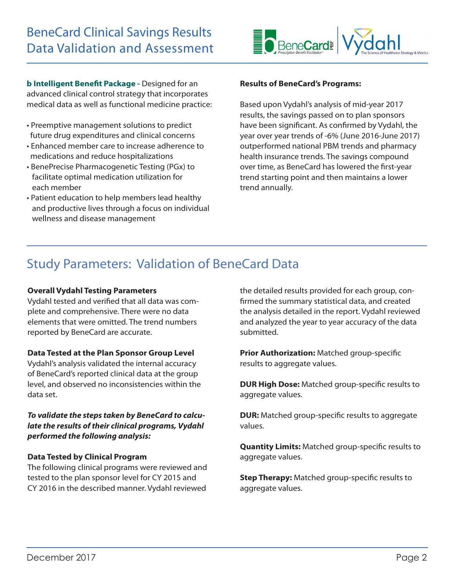

**b Intelligent Benefit Package -** Designed for an advanced clinical control strategy that incorporates medical data as well as functional medicine practice:

- Preemptive management solutions to predict future drug expenditures and clinical concerns
- Enhanced member care to increase adherence to medications and reduce hospitalizations
- BenePrecise Pharmacogenetic Testing (PGx) to facilitate optimal medication utilization for each member
- Patient education to help members lead healthy and productive lives through a focus on individual wellness and disease management

#### **Results of BeneCard's Programs:**

Based upon Vydahl's analysis of mid-year 2017 results, the savings passed on to plan sponsors have been significant. As confirmed by Vydahl, the year over year trends of -6% (June 2016-June 2017) outperformed national PBM trends and pharmacy health insurance trends. The savings compound over time, as BeneCard has lowered the first-year trend starting point and then maintains a lower trend annually.

### Study Parameters: Validation of BeneCard Data

#### **Overall Vydahl Testing Parameters**

Vydahl tested and verified that all data was complete and comprehensive. There were no data elements that were omitted. The trend numbers reported by BeneCard are accurate.

#### **Data Tested at the Plan Sponsor Group Level**

Vydahl's analysis validated the internal accuracy of BeneCard's reported clinical data at the group level, and observed no inconsistencies within the data set.

#### *To validate the steps taken by BeneCard to calculate the results of their clinical programs, Vydahl performed the following analysis:*

#### **Data Tested by Clinical Program**

The following clinical programs were reviewed and tested to the plan sponsor level for CY 2015 and CY 2016 in the described manner. Vydahl reviewed

the detailed results provided for each group, confirmed the summary statistical data, and created the analysis detailed in the report. Vydahl reviewed and analyzed the year to year accuracy of the data submitted.

**Prior Authorization:** Matched group-specific results to aggregate values.

**DUR High Dose:** Matched group-specific results to aggregate values.

**DUR:** Matched group-specific results to aggregate values.

**Quantity Limits:** Matched group-specific results to aggregate values.

**Step Therapy:** Matched group-specific results to aggregate values.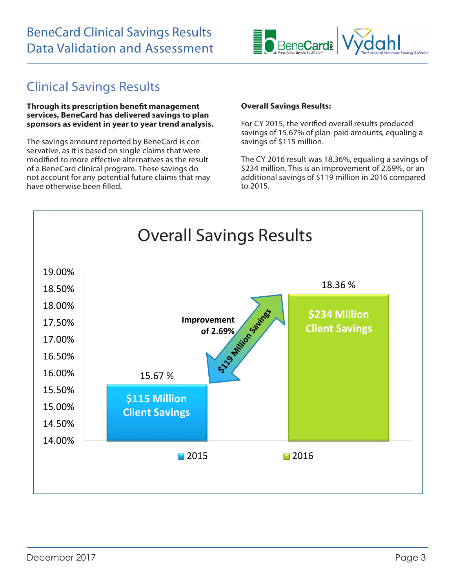

# Clinical Savings Results

**Through its prescription benefit management services, BeneCard has delivered savings to plan sponsors as evident in year to year trend analysis.** 

The savings amount reported by BeneCard is conservative, as it is based on single claims that were modified to more effective alternatives as the result of a BeneCard clinical program. These savings do not account for any potential future claims that may have otherwise been filled.

#### **Overall Savings Results:**

For CY 2015, the verified overall results produced savings of 15.67% of plan-paid amounts, equaling a savings of \$115 million.

The CY 2016 result was 18.36%, equaling a savings of \$234 million. This is an improvement of 2.69%, or an additional savings of \$119 million in 2016 compared to 2015.

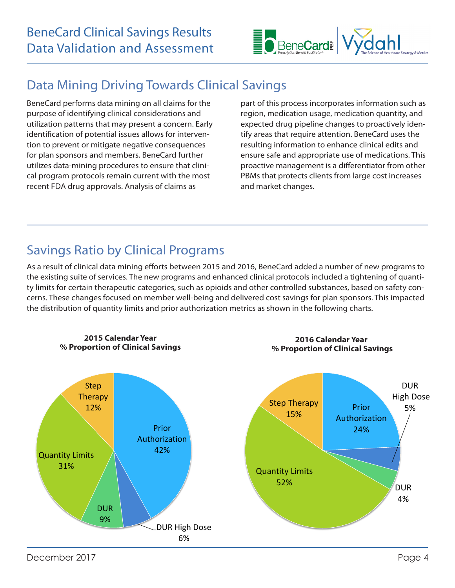

# Data Mining Driving Towards Clinical Savings

BeneCard performs data mining on all claims for the purpose of identifying clinical considerations and utilization patterns that may present a concern. Early identification of potential issues allows for intervention to prevent or mitigate negative consequences for plan sponsors and members. BeneCard further utilizes data-mining procedures to ensure that clinical program protocols remain current with the most recent FDA drug approvals. Analysis of claims as

part of this process incorporates information such as region, medication usage, medication quantity, and expected drug pipeline changes to proactively identify areas that require attention. BeneCard uses the resulting information to enhance clinical edits and ensure safe and appropriate use of medications. This proactive management is a differentiator from other PBMs that protects clients from large cost increases and market changes.

# Savings Ratio by Clinical Programs

As a result of clinical data mining efforts between 2015 and 2016, BeneCard added a number of new programs to the existing suite of services. The new programs and enhanced clinical protocols included a tightening of quantity limits for certain therapeutic categories, such as opioids and other controlled substances, based on safety concerns. These changes focused on member well-being and delivered cost savings for plan sponsors. This impacted the distribution of quantity limits and prior authorization metrics as shown in the following charts.

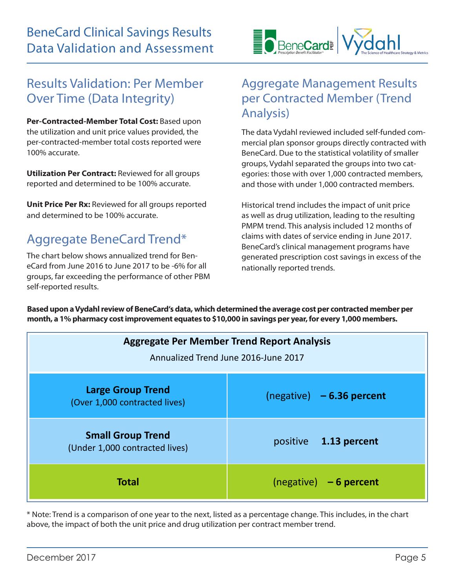

### Results Validation: Per Member Over Time (Data Integrity)

**Per-Contracted-Member Total Cost:** Based upon the utilization and unit price values provided, the per-contracted-member total costs reported were 100% accurate.

**Utilization Per Contract:** Reviewed for all groups reported and determined to be 100% accurate.

**Unit Price Per Rx: Reviewed for all groups reported** and determined to be 100% accurate.

### Aggregate BeneCard Trend\*

The chart below shows annualized trend for BeneCard from June 2016 to June 2017 to be -6% for all groups, far exceeding the performance of other PBM self-reported results.

### Aggregate Management Results per Contracted Member (Trend Analysis)

The data Vydahl reviewed included self-funded commercial plan sponsor groups directly contracted with BeneCard. Due to the statistical volatility of smaller groups, Vydahl separated the groups into two categories: those with over 1,000 contracted members, and those with under 1,000 contracted members.

Historical trend includes the impact of unit price as well as drug utilization, leading to the resulting PMPM trend. This analysis included 12 months of claims with dates of service ending in June 2017. BeneCard's clinical management programs have generated prescription cost savings in excess of the nationally reported trends.

**Based upon a Vydahl review of BeneCard's data, which determined the average cost per contracted member per month, a 1% pharmacy cost improvement equates to \$10,000 in savings per year, for every 1,000 members.**

| <b>Aggregate Per Member Trend Report Analysis</b><br>Annualized Trend June 2016-June 2017 |                             |
|-------------------------------------------------------------------------------------------|-----------------------------|
| <b>Large Group Trend</b><br>(Over 1,000 contracted lives)                                 | $(negative) - 6.36 percent$ |
| <b>Small Group Trend</b><br>(Under 1,000 contracted lives)                                | positive 1.13 percent       |
| <b>Total</b>                                                                              | $(negative) - 6 percent$    |

\* Note: Trend is a comparison of one year to the next, listed as a percentage change. This includes, in the chart above, the impact of both the unit price and drug utilization per contract member trend.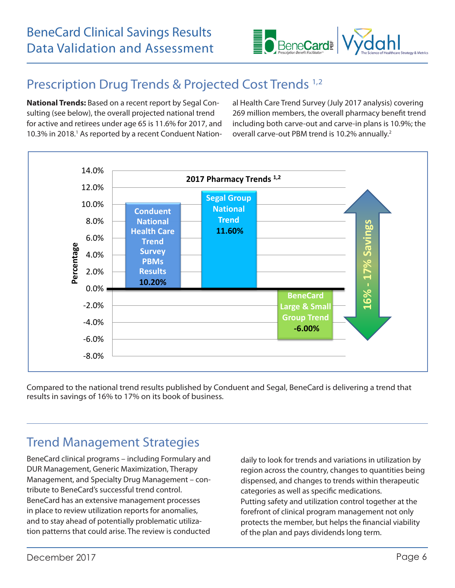

# Prescription Drug Trends & Projected Cost Trends 1,2

**National Trends:** Based on a recent report by Segal Consulting (see below), the overall projected national trend for active and retirees under age 65 is 11.6% for 2017, and 10.3% in 2018.<sup>1</sup> As reported by a recent Conduent National Health Care Trend Survey (July 2017 analysis) covering 269 million members, the overall pharmacy benefit trend including both carve-out and carve-in plans is 10.9%; the overall carve-out PBM trend is 10.2% annually.<sup>2</sup>



Compared to the national trend results published by Conduent and Segal, BeneCard is delivering a trend that results in savings of 16% to 17% on its book of business.

### Trend Management Strategies

BeneCard clinical programs – including Formulary and DUR Management, Generic Maximization, Therapy Management, and Specialty Drug Management – contribute to BeneCard's successful trend control. BeneCard has an extensive management processes in place to review utilization reports for anomalies, and to stay ahead of potentially problematic utilization patterns that could arise. The review is conducted daily to look for trends and variations in utilization by region across the country, changes to quantities being dispensed, and changes to trends within therapeutic categories as well as specific medications. Putting safety and utilization control together at the forefront of clinical program management not only protects the member, but helps the financial viability of the plan and pays dividends long term.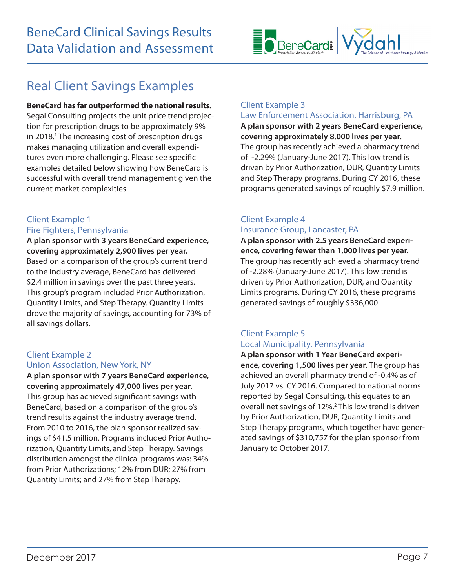# Real Client Savings Examples

**BeneCard has far outperformed the national results.**  Segal Consulting projects the unit price trend projection for prescription drugs to be approximately 9% in 2018.<sup>1</sup> The increasing cost of prescription drugs makes managing utilization and overall expenditures even more challenging. Please see specific examples detailed below showing how BeneCard is successful with overall trend management given the current market complexities.

#### Client Example 1 Fire Fighters, Pennsylvania

**A plan sponsor with 3 years BeneCard experience, covering approximately 2,900 lives per year.**  Based on a comparison of the group's current trend to the industry average, BeneCard has delivered \$2.4 million in savings over the past three years. This group's program included Prior Authorization, Quantity Limits, and Step Therapy. Quantity Limits drove the majority of savings, accounting for 73% of all savings dollars.

#### Client Example 2

#### Union Association, New York, NY

**A plan sponsor with 7 years BeneCard experience, covering approximately 47,000 lives per year.**  This group has achieved significant savings with BeneCard, based on a comparison of the group's trend results against the industry average trend. From 2010 to 2016, the plan sponsor realized savings of \$41.5 million. Programs included Prior Authorization, Quantity Limits, and Step Therapy. Savings distribution amongst the clinical programs was: 34% from Prior Authorizations; 12% from DUR; 27% from Quantity Limits; and 27% from Step Therapy.

#### Client Example 3

#### Law Enforcement Association, Harrisburg, PA

**A plan sponsor with 2 years BeneCard experience, covering approximately 8,000 lives per year.** The group has recently achieved a pharmacy trend of -2.29% (January-June 2017). This low trend is driven by Prior Authorization, DUR, Quantity Limits and Step Therapy programs. During CY 2016, these programs generated savings of roughly \$7.9 million.

#### Client Example 4 Insurance Group, Lancaster, PA

**A plan sponsor with 2.5 years BeneCard experience, covering fewer than 1,000 lives per year.**  The group has recently achieved a pharmacy trend of -2.28% (January-June 2017). This low trend is driven by Prior Authorization, DUR, and Quantity Limits programs. During CY 2016, these programs generated savings of roughly \$336,000.

#### Client Example 5 Local Municipality, Pennsylvania

**A plan sponsor with 1 Year BeneCard experience, covering 1,500 lives per year.** The group has achieved an overall pharmacy trend of -0.4% as of July 2017 vs. CY 2016. Compared to national norms reported by Segal Consulting, this equates to an overall net savings of 12%.<sup>2</sup> This low trend is driven by Prior Authorization, DUR, Quantity Limits and Step Therapy programs, which together have generated savings of \$310,757 for the plan sponsor from January to October 2017.

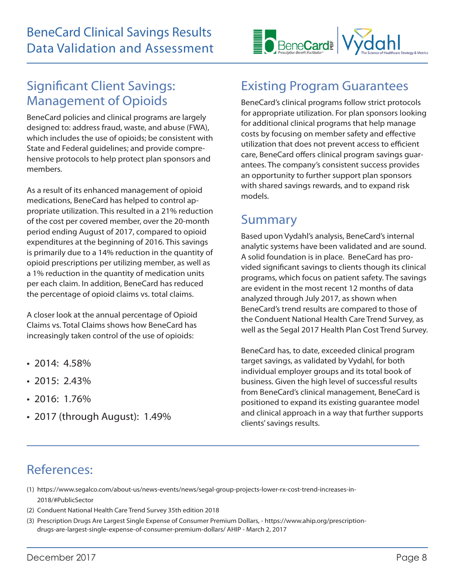

### Significant Client Savings: Management of Opioids

BeneCard policies and clinical programs are largely designed to: address fraud, waste, and abuse (FWA), which includes the use of opioids; be consistent with State and Federal guidelines; and provide comprehensive protocols to help protect plan sponsors and members.

As a result of its enhanced management of opioid medications, BeneCard has helped to control appropriate utilization. This resulted in a 21% reduction of the cost per covered member, over the 20-month period ending August of 2017, compared to opioid expenditures at the beginning of 2016. This savings is primarily due to a 14% reduction in the quantity of opioid prescriptions per utilizing member, as well as a 1% reduction in the quantity of medication units per each claim. In addition, BeneCard has reduced the percentage of opioid claims vs. total claims.

A closer look at the annual percentage of Opioid Claims vs. Total Claims shows how BeneCard has increasingly taken control of the use of opioids:

- $2014 \cdot 458\%$
- 2015: 2.43%
- 2016: 1.76%
- 2017 (through August): 1.49%

# Existing Program Guarantees

BeneCard's clinical programs follow strict protocols for appropriate utilization. For plan sponsors looking for additional clinical programs that help manage costs by focusing on member safety and effective utilization that does not prevent access to efficient care, BeneCard offers clinical program savings guarantees. The company's consistent success provides an opportunity to further support plan sponsors with shared savings rewards, and to expand risk models.

### Summary

Based upon Vydahl's analysis, BeneCard's internal analytic systems have been validated and are sound. A solid foundation is in place. BeneCard has provided significant savings to clients though its clinical programs, which focus on patient safety. The savings are evident in the most recent 12 months of data analyzed through July 2017, as shown when BeneCard's trend results are compared to those of the Conduent National Health Care Trend Survey, as well as the Segal 2017 Health Plan Cost Trend Survey.

BeneCard has, to date, exceeded clinical program target savings, as validated by Vydahl, for both individual employer groups and its total book of business. Given the high level of successful results from BeneCard's clinical management, BeneCard is positioned to expand its existing guarantee model and clinical approach in a way that further supports clients' savings results.

### References:

- (1) https://www.segalco.com/about-us/news-events/news/segal-group-projects-lower-rx-cost-trend-increases-in- 2018/#PublicSector
- (2) Conduent National Health Care Trend Survey 35th edition 2018
- (3) Prescription Drugs Are Largest Single Expense of Consumer Premium Dollars, https://www.ahip.org/prescription drugs-are-largest-single-expense-of-consumer-premium-dollars/ AHIP - March 2, 2017